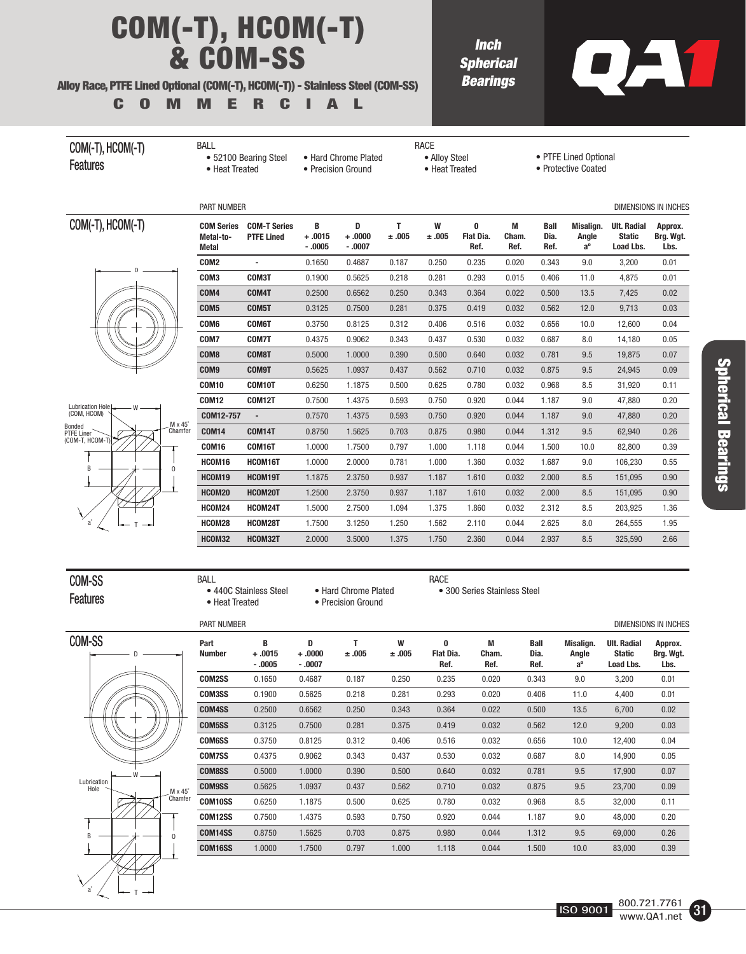## COM(-T), HCOM(-T) & COM-SS

#### Alloy Race, PTFE Lined Optional (COM(-T), HCOM(-T)) - Stainless Steel (COM-SS)

COMMERCIAL

BALL

**Inch Spherical Bearings** 



### COM(-T), HCOM(-T) **Features**

 • 52100 Bearing Steel • Heat Treated • Hard Chrome Plated

• Precision Ground

RACE • Alloy Steel • Heat Treated

### COM(-T), HCOM(-T)





|                  | <b>PART NUMBER</b>                             |                                          |                           |                             |            |            |                               |                    |                             |                                   |                                                  | <b>DIMENSIONS IN INCHES</b>  |
|------------------|------------------------------------------------|------------------------------------------|---------------------------|-----------------------------|------------|------------|-------------------------------|--------------------|-----------------------------|-----------------------------------|--------------------------------------------------|------------------------------|
|                  | <b>COM Series</b><br>Metal-to-<br><b>Metal</b> | <b>COM-T Series</b><br><b>PTFE Lined</b> | B<br>$+.0015$<br>$-0.005$ | D<br>$+.0000 +$<br>$-.0007$ | T<br>±.005 | W<br>±.005 | 0<br><b>Flat Dia.</b><br>Ref. | M<br>Cham.<br>Ref. | <b>Ball</b><br>Dia.<br>Ref. | Misalign.<br>Angle<br>$a^{\circ}$ | <b>Ult. Radial</b><br><b>Static</b><br>Load Lbs. | Approx.<br>Brg. Wgt.<br>Lbs. |
|                  | COM2                                           | $\blacksquare$                           | 0.1650                    | 0.4687                      | 0.187      | 0.250      | 0.235                         | 0.020              | 0.343                       | 9.0                               | 3,200                                            | 0.01                         |
|                  | COM3                                           | COM3T                                    | 0.1900                    | 0.5625                      | 0.218      | 0.281      | 0.293                         | 0.015              | 0.406                       | 11.0                              | 4.875                                            | 0.01                         |
|                  | COM4                                           | COM4T                                    | 0.2500                    | 0.6562                      | 0.250      | 0.343      | 0.364                         | 0.022              | 0.500                       | 13.5                              | 7,425                                            | 0.02                         |
|                  | COM <sub>5</sub>                               | COM5T                                    | 0.3125                    | 0.7500                      | 0.281      | 0.375      | 0.419                         | 0.032              | 0.562                       | 12.0                              | 9.713                                            | 0.03                         |
|                  | COM6                                           | <b>COM6T</b>                             | 0.3750                    | 0.8125                      | 0.312      | 0.406      | 0.516                         | 0.032              | 0.656                       | 10.0                              | 12,600                                           | 0.04                         |
|                  | COM7                                           | COM7T                                    | 0.4375                    | 0.9062                      | 0.343      | 0.437      | 0.530                         | 0.032              | 0.687                       | 8.0                               | 14.180                                           | 0.05                         |
|                  | COM <sub>8</sub>                               | COM8T                                    | 0.5000                    | 1.0000                      | 0.390      | 0.500      | 0.640                         | 0.032              | 0.781                       | 9.5                               | 19.875                                           | 0.07                         |
|                  | COM9                                           | <b>COM9T</b>                             | 0.5625                    | 1.0937                      | 0.437      | 0.562      | 0.710                         | 0.032              | 0.875                       | 9.5                               | 24,945                                           | 0.09                         |
|                  | <b>COM10</b>                                   | COM10T                                   | 0.6250                    | 1.1875                      | 0.500      | 0.625      | 0.780                         | 0.032              | 0.968                       | 8.5                               | 31,920                                           | 0.11                         |
|                  | <b>COM12</b>                                   | <b>COM12T</b>                            | 0.7500                    | 1.4375                      | 0.593      | 0.750      | 0.920                         | 0.044              | 1.187                       | 9.0                               | 47.880                                           | 0.20                         |
|                  | COM12-757                                      | $\overline{\phantom{a}}$                 | 0.7570                    | 1.4375                      | 0.593      | 0.750      | 0.920                         | 0.044              | 1.187                       | 9.0                               | 47.880                                           | 0.20                         |
| $5^\circ$<br>fer | <b>COM14</b>                                   | <b>COM14T</b>                            | 0.8750                    | 1.5625                      | 0.703      | 0.875      | 0.980                         | 0.044              | 1.312                       | 9.5                               | 62.940                                           | 0.26                         |
|                  | <b>COM16</b>                                   | COM16T                                   | 1.0000                    | 1.7500                      | 0.797      | 1.000      | 1.118                         | 0.044              | 1.500                       | 10.0                              | 82,800                                           | 0.39                         |
|                  | HCOM16                                         | HCOM16T                                  | 1.0000                    | 2.0000                      | 0.781      | 1.000      | 1.360                         | 0.032              | 1.687                       | 9.0                               | 106,230                                          | 0.55                         |
|                  | HCOM19                                         | HCOM19T                                  | 1.1875                    | 2.3750                      | 0.937      | 1.187      | 1.610                         | 0.032              | 2.000                       | 8.5                               | 151,095                                          | 0.90                         |
|                  | HCOM20                                         | HCOM20T                                  | 1.2500                    | 2.3750                      | 0.937      | 1.187      | 1.610                         | 0.032              | 2.000                       | 8.5                               | 151.095                                          | 0.90                         |
|                  | HCOM24                                         | HCOM24T                                  | 1.5000                    | 2.7500                      | 1.094      | 1.375      | 1.860                         | 0.032              | 2.312                       | 8.5                               | 203,925                                          | 1.36                         |
|                  | HCOM28                                         | HCOM28T                                  | 1.7500                    | 3.1250                      | 1.250      | 1.562      | 2.110                         | 0.044              | 2.625                       | 8.0                               | 264.555                                          | 1.95                         |
|                  | HCOM32                                         | HCOM32T                                  | 2.0000                    | 3.5000                      | 1.375      | 1.750      | 2.360                         | 0.044              | 2.937                       | 8.5                               | 325,590                                          | 2.66                         |
|                  |                                                |                                          |                           |                             |            |            |                               |                    |                             |                                   |                                                  |                              |

COM-SS Features BALL

• 440C Stainless Steel

• Heat Treated

RACE • 300 Series Stainless Steel

 • Hard Chrome Plated • Precision Ground

PART NUMBER

COM-SS D T B O W a˚ Lubrication  $M \times 45^\circ$ Chamfer

| Part<br><b>Number</b> | B<br>$+.0015$<br>$-0.0005$ | D<br>$+.0000 +$<br>$-.0007$ | ±.005 | W<br>±.005 | 0<br>Flat Dia.<br>Ref. | M<br>Cham.<br>Ref. | <b>Ball</b><br>Dia.<br>Ref. | Misalign.<br>Angle<br>$a^{\circ}$ | <b>Ult. Radial</b><br><b>Static</b><br>Load Lbs. | Approx.<br>Brg. Wgt.<br>Lbs. |
|-----------------------|----------------------------|-----------------------------|-------|------------|------------------------|--------------------|-----------------------------|-----------------------------------|--------------------------------------------------|------------------------------|
| COM2SS                | 0.1650                     | 0.4687                      | 0.187 | 0.250      | 0.235                  | 0.020              | 0.343                       | 9.0                               | 3,200                                            | 0.01                         |
| <b>COM3SS</b>         | 0.1900                     | 0.5625                      | 0.218 | 0.281      | 0.293                  | 0.020              | 0.406                       | 11.0                              | 4,400                                            | 0.01                         |
| COM4SS                | 0.2500                     | 0.6562                      | 0.250 | 0.343      | 0.364                  | 0.022              | 0.500                       | 13.5                              | 6,700                                            | 0.02                         |
| <b>COM5SS</b>         | 0.3125                     | 0.7500                      | 0.281 | 0.375      | 0.419                  | 0.032              | 0.562                       | 12.0                              | 9,200                                            | 0.03                         |
| <b>COM6SS</b>         | 0.3750                     | 0.8125                      | 0.312 | 0.406      | 0.516                  | 0.032              | 0.656                       | 10.0                              | 12,400                                           | 0.04                         |
| <b>COM7SS</b>         | 0.4375                     | 0.9062                      | 0.343 | 0.437      | 0.530                  | 0.032              | 0.687                       | 8.0                               | 14,900                                           | 0.05                         |
| <b>COM8SS</b>         | 0.5000                     | 1.0000                      | 0.390 | 0.500      | 0.640                  | 0.032              | 0.781                       | 9.5                               | 17,900                                           | 0.07                         |
| <b>COM9SS</b>         | 0.5625                     | 1.0937                      | 0.437 | 0.562      | 0.710                  | 0.032              | 0.875                       | 9.5                               | 23,700                                           | 0.09                         |
| <b>COM10SS</b>        | 0.6250                     | 1.1875                      | 0.500 | 0.625      | 0.780                  | 0.032              | 0.968                       | 8.5                               | 32,000                                           | 0.11                         |
| COM12SS               | 0.7500                     | 1.4375                      | 0.593 | 0.750      | 0.920                  | 0.044              | 1.187                       | 9.0                               | 48.000                                           | 0.20                         |
| COM14SS               | 0.8750                     | 1.5625                      | 0.703 | 0.875      | 0.980                  | 0.044              | 1.312                       | 9.5                               | 69.000                                           | 0.26                         |
| COM16SS               | 1.0000                     | 1.7500                      | 0.797 | 1.000      | 1.118                  | 0.044              | 1.500                       | 10.0                              | 83,000                                           | 0.39                         |
|                       |                            |                             |       |            |                        |                    |                             |                                   |                                                  |                              |

DIMENSIONS IN INCHES



 <sup>•</sup> PTFE Lined Optional

 <sup>•</sup> Protective Coated